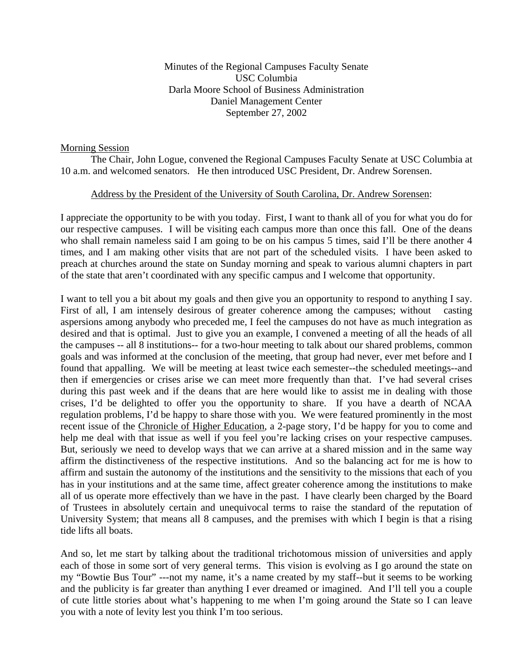Minutes of the Regional Campuses Faculty Senate USC Columbia Darla Moore School of Business Administration Daniel Management Center September 27, 2002

#### Morning Session

 The Chair, John Logue, convened the Regional Campuses Faculty Senate at USC Columbia at 10 a.m. and welcomed senators. He then introduced USC President, Dr. Andrew Sorensen.

### Address by the President of the University of South Carolina, Dr. Andrew Sorensen:

I appreciate the opportunity to be with you today. First, I want to thank all of you for what you do for our respective campuses. I will be visiting each campus more than once this fall. One of the deans who shall remain nameless said I am going to be on his campus 5 times, said I'll be there another 4 times, and I am making other visits that are not part of the scheduled visits. I have been asked to preach at churches around the state on Sunday morning and speak to various alumni chapters in part of the state that aren't coordinated with any specific campus and I welcome that opportunity.

I want to tell you a bit about my goals and then give you an opportunity to respond to anything I say. First of all, I am intensely desirous of greater coherence among the campuses; without casting aspersions among anybody who preceded me, I feel the campuses do not have as much integration as desired and that is optimal. Just to give you an example, I convened a meeting of all the heads of all the campuses -- all 8 institutions-- for a two-hour meeting to talk about our shared problems, common goals and was informed at the conclusion of the meeting, that group had never, ever met before and I found that appalling. We will be meeting at least twice each semester--the scheduled meetings--and then if emergencies or crises arise we can meet more frequently than that. I've had several crises during this past week and if the deans that are here would like to assist me in dealing with those crises, I'd be delighted to offer you the opportunity to share. If you have a dearth of NCAA regulation problems, I'd be happy to share those with you. We were featured prominently in the most recent issue of the Chronicle of Higher Education, a 2-page story, I'd be happy for you to come and help me deal with that issue as well if you feel you're lacking crises on your respective campuses. But, seriously we need to develop ways that we can arrive at a shared mission and in the same way affirm the distinctiveness of the respective institutions. And so the balancing act for me is how to affirm and sustain the autonomy of the institutions and the sensitivity to the missions that each of you has in your institutions and at the same time, affect greater coherence among the institutions to make all of us operate more effectively than we have in the past. I have clearly been charged by the Board of Trustees in absolutely certain and unequivocal terms to raise the standard of the reputation of University System; that means all 8 campuses, and the premises with which I begin is that a rising tide lifts all boats.

And so, let me start by talking about the traditional trichotomous mission of universities and apply each of those in some sort of very general terms. This vision is evolving as I go around the state on my "Bowtie Bus Tour" ---not my name, it's a name created by my staff--but it seems to be working and the publicity is far greater than anything I ever dreamed or imagined. And I'll tell you a couple of cute little stories about what's happening to me when I'm going around the State so I can leave you with a note of levity lest you think I'm too serious.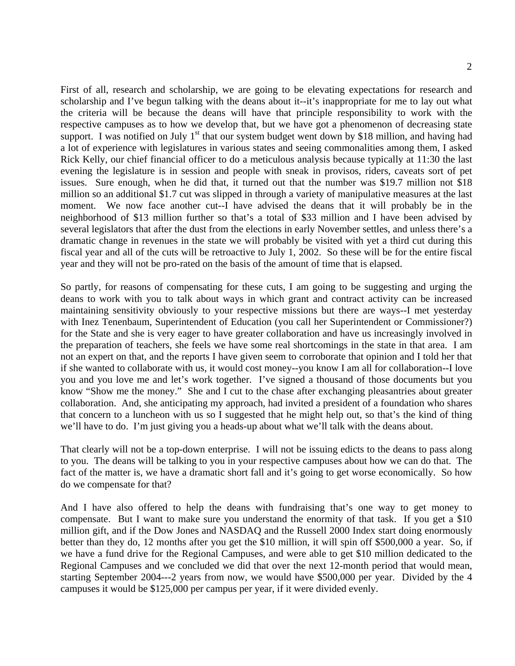First of all, research and scholarship, we are going to be elevating expectations for research and scholarship and I've begun talking with the deans about it--it's inappropriate for me to lay out what the criteria will be because the deans will have that principle responsibility to work with the respective campuses as to how we develop that, but we have got a phenomenon of decreasing state support. I was notified on July  $1<sup>st</sup>$  that our system budget went down by \$18 million, and having had a lot of experience with legislatures in various states and seeing commonalities among them, I asked Rick Kelly, our chief financial officer to do a meticulous analysis because typically at 11:30 the last evening the legislature is in session and people with sneak in provisos, riders, caveats sort of pet issues. Sure enough, when he did that, it turned out that the number was \$19.7 million not \$18 million so an additional \$1.7 cut was slipped in through a variety of manipulative measures at the last moment. We now face another cut--I have advised the deans that it will probably be in the neighborhood of \$13 million further so that's a total of \$33 million and I have been advised by several legislators that after the dust from the elections in early November settles, and unless there's a dramatic change in revenues in the state we will probably be visited with yet a third cut during this fiscal year and all of the cuts will be retroactive to July 1, 2002. So these will be for the entire fiscal year and they will not be pro-rated on the basis of the amount of time that is elapsed.

So partly, for reasons of compensating for these cuts, I am going to be suggesting and urging the deans to work with you to talk about ways in which grant and contract activity can be increased maintaining sensitivity obviously to your respective missions but there are ways--I met yesterday with Inez Tenenbaum, Superintendent of Education (you call her Superintendent or Commissioner?) for the State and she is very eager to have greater collaboration and have us increasingly involved in the preparation of teachers, she feels we have some real shortcomings in the state in that area. I am not an expert on that, and the reports I have given seem to corroborate that opinion and I told her that if she wanted to collaborate with us, it would cost money--you know I am all for collaboration--I love you and you love me and let's work together. I've signed a thousand of those documents but you know "Show me the money." She and I cut to the chase after exchanging pleasantries about greater collaboration. And, she anticipating my approach, had invited a president of a foundation who shares that concern to a luncheon with us so I suggested that he might help out, so that's the kind of thing we'll have to do. I'm just giving you a heads-up about what we'll talk with the deans about.

That clearly will not be a top-down enterprise. I will not be issuing edicts to the deans to pass along to you. The deans will be talking to you in your respective campuses about how we can do that. The fact of the matter is, we have a dramatic short fall and it's going to get worse economically. So how do we compensate for that?

And I have also offered to help the deans with fundraising that's one way to get money to compensate. But I want to make sure you understand the enormity of that task. If you get a \$10 million gift, and if the Dow Jones and NASDAQ and the Russell 2000 Index start doing enormously better than they do, 12 months after you get the \$10 million, it will spin off \$500,000 a year. So, if we have a fund drive for the Regional Campuses, and were able to get \$10 million dedicated to the Regional Campuses and we concluded we did that over the next 12-month period that would mean, starting September 2004---2 years from now, we would have \$500,000 per year. Divided by the 4 campuses it would be \$125,000 per campus per year, if it were divided evenly.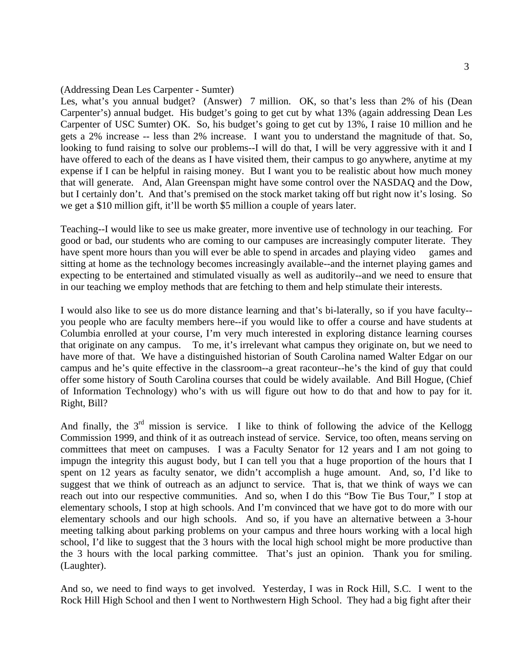#### (Addressing Dean Les Carpenter - Sumter)

Les, what's you annual budget? (Answer) 7 million. OK, so that's less than 2% of his (Dean Carpenter's) annual budget. His budget's going to get cut by what 13% (again addressing Dean Les Carpenter of USC Sumter) OK. So, his budget's going to get cut by 13%, I raise 10 million and he gets a 2% increase -- less than 2% increase. I want you to understand the magnitude of that. So, looking to fund raising to solve our problems--I will do that, I will be very aggressive with it and I have offered to each of the deans as I have visited them, their campus to go anywhere, anytime at my expense if I can be helpful in raising money. But I want you to be realistic about how much money that will generate. And, Alan Greenspan might have some control over the NASDAQ and the Dow, but I certainly don't. And that's premised on the stock market taking off but right now it's losing. So we get a \$10 million gift, it'll be worth \$5 million a couple of years later.

Teaching--I would like to see us make greater, more inventive use of technology in our teaching. For good or bad, our students who are coming to our campuses are increasingly computer literate. They have spent more hours than you will ever be able to spend in arcades and playing video games and sitting at home as the technology becomes increasingly available--and the internet playing games and expecting to be entertained and stimulated visually as well as auditorily--and we need to ensure that in our teaching we employ methods that are fetching to them and help stimulate their interests.

I would also like to see us do more distance learning and that's bi-laterally, so if you have faculty- you people who are faculty members here--if you would like to offer a course and have students at Columbia enrolled at your course, I'm very much interested in exploring distance learning courses that originate on any campus. To me, it's irrelevant what campus they originate on, but we need to have more of that. We have a distinguished historian of South Carolina named Walter Edgar on our campus and he's quite effective in the classroom--a great raconteur--he's the kind of guy that could offer some history of South Carolina courses that could be widely available. And Bill Hogue, (Chief of Information Technology) who's with us will figure out how to do that and how to pay for it. Right, Bill?

And finally, the  $3<sup>rd</sup>$  mission is service. I like to think of following the advice of the Kellogg Commission 1999, and think of it as outreach instead of service. Service, too often, means serving on committees that meet on campuses. I was a Faculty Senator for 12 years and I am not going to impugn the integrity this august body, but I can tell you that a huge proportion of the hours that I spent on 12 years as faculty senator, we didn't accomplish a huge amount. And, so, I'd like to suggest that we think of outreach as an adjunct to service. That is, that we think of ways we can reach out into our respective communities. And so, when I do this "Bow Tie Bus Tour," I stop at elementary schools, I stop at high schools. And I'm convinced that we have got to do more with our elementary schools and our high schools. And so, if you have an alternative between a 3-hour meeting talking about parking problems on your campus and three hours working with a local high school, I'd like to suggest that the 3 hours with the local high school might be more productive than the 3 hours with the local parking committee. That's just an opinion. Thank you for smiling. (Laughter).

And so, we need to find ways to get involved. Yesterday, I was in Rock Hill, S.C. I went to the Rock Hill High School and then I went to Northwestern High School. They had a big fight after their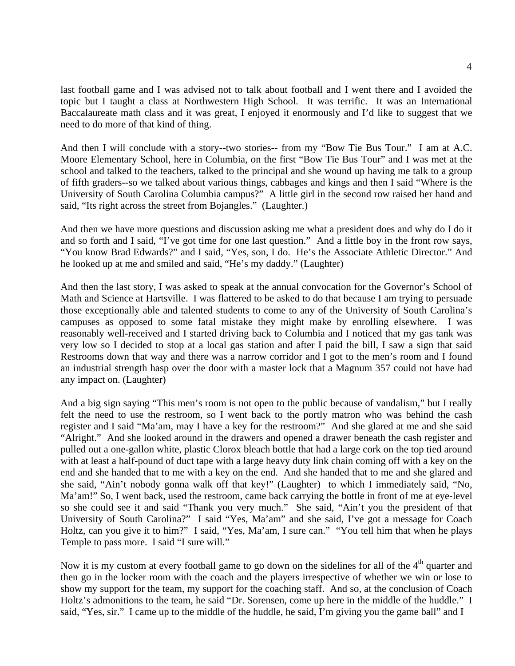last football game and I was advised not to talk about football and I went there and I avoided the topic but I taught a class at Northwestern High School. It was terrific. It was an International Baccalaureate math class and it was great, I enjoyed it enormously and I'd like to suggest that we need to do more of that kind of thing.

And then I will conclude with a story--two stories-- from my "Bow Tie Bus Tour." I am at A.C. Moore Elementary School, here in Columbia, on the first "Bow Tie Bus Tour" and I was met at the school and talked to the teachers, talked to the principal and she wound up having me talk to a group of fifth graders--so we talked about various things, cabbages and kings and then I said "Where is the University of South Carolina Columbia campus?" A little girl in the second row raised her hand and said, "Its right across the street from Bojangles." (Laughter.)

And then we have more questions and discussion asking me what a president does and why do I do it and so forth and I said, "I've got time for one last question." And a little boy in the front row says, "You know Brad Edwards?" and I said, "Yes, son, I do. He's the Associate Athletic Director." And he looked up at me and smiled and said, "He's my daddy." (Laughter)

And then the last story, I was asked to speak at the annual convocation for the Governor's School of Math and Science at Hartsville. I was flattered to be asked to do that because I am trying to persuade those exceptionally able and talented students to come to any of the University of South Carolina's campuses as opposed to some fatal mistake they might make by enrolling elsewhere. I was reasonably well-received and I started driving back to Columbia and I noticed that my gas tank was very low so I decided to stop at a local gas station and after I paid the bill, I saw a sign that said Restrooms down that way and there was a narrow corridor and I got to the men's room and I found an industrial strength hasp over the door with a master lock that a Magnum 357 could not have had any impact on. (Laughter)

And a big sign saying "This men's room is not open to the public because of vandalism," but I really felt the need to use the restroom, so I went back to the portly matron who was behind the cash register and I said "Ma'am, may I have a key for the restroom?" And she glared at me and she said "Alright." And she looked around in the drawers and opened a drawer beneath the cash register and pulled out a one-gallon white, plastic Clorox bleach bottle that had a large cork on the top tied around with at least a half-pound of duct tape with a large heavy duty link chain coming off with a key on the end and she handed that to me with a key on the end. And she handed that to me and she glared and she said, "Ain't nobody gonna walk off that key!" (Laughter) to which I immediately said, "No, Ma'am!" So, I went back, used the restroom, came back carrying the bottle in front of me at eye-level so she could see it and said "Thank you very much." She said, "Ain't you the president of that University of South Carolina?" I said "Yes, Ma'am" and she said, I've got a message for Coach Holtz, can you give it to him?" I said, "Yes, Ma'am, I sure can." "You tell him that when he plays Temple to pass more. I said "I sure will."

Now it is my custom at every football game to go down on the sidelines for all of the  $4<sup>th</sup>$  quarter and then go in the locker room with the coach and the players irrespective of whether we win or lose to show my support for the team, my support for the coaching staff. And so, at the conclusion of Coach Holtz's admonitions to the team, he said "Dr. Sorensen, come up here in the middle of the huddle." I said, "Yes, sir." I came up to the middle of the huddle, he said, I'm giving you the game ball" and I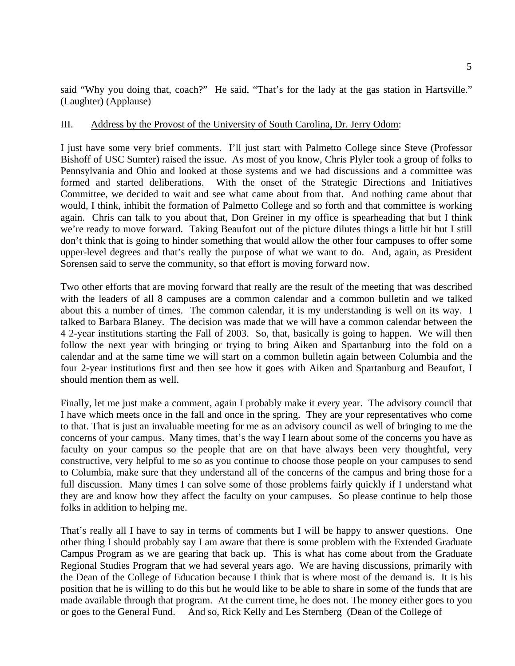said "Why you doing that, coach?" He said, "That's for the lady at the gas station in Hartsville." (Laughter) (Applause)

#### III. Address by the Provost of the University of South Carolina, Dr. Jerry Odom:

I just have some very brief comments. I'll just start with Palmetto College since Steve (Professor Bishoff of USC Sumter) raised the issue. As most of you know, Chris Plyler took a group of folks to Pennsylvania and Ohio and looked at those systems and we had discussions and a committee was formed and started deliberations. With the onset of the Strategic Directions and Initiatives Committee, we decided to wait and see what came about from that. And nothing came about that would, I think, inhibit the formation of Palmetto College and so forth and that committee is working again. Chris can talk to you about that, Don Greiner in my office is spearheading that but I think we're ready to move forward. Taking Beaufort out of the picture dilutes things a little bit but I still don't think that is going to hinder something that would allow the other four campuses to offer some upper-level degrees and that's really the purpose of what we want to do. And, again, as President Sorensen said to serve the community, so that effort is moving forward now.

Two other efforts that are moving forward that really are the result of the meeting that was described with the leaders of all 8 campuses are a common calendar and a common bulletin and we talked about this a number of times. The common calendar, it is my understanding is well on its way. I talked to Barbara Blaney. The decision was made that we will have a common calendar between the 4 2-year institutions starting the Fall of 2003. So, that, basically is going to happen. We will then follow the next year with bringing or trying to bring Aiken and Spartanburg into the fold on a calendar and at the same time we will start on a common bulletin again between Columbia and the four 2-year institutions first and then see how it goes with Aiken and Spartanburg and Beaufort, I should mention them as well.

Finally, let me just make a comment, again I probably make it every year. The advisory council that I have which meets once in the fall and once in the spring. They are your representatives who come to that. That is just an invaluable meeting for me as an advisory council as well of bringing to me the concerns of your campus. Many times, that's the way I learn about some of the concerns you have as faculty on your campus so the people that are on that have always been very thoughtful, very constructive, very helpful to me so as you continue to choose those people on your campuses to send to Columbia, make sure that they understand all of the concerns of the campus and bring those for a full discussion. Many times I can solve some of those problems fairly quickly if I understand what they are and know how they affect the faculty on your campuses. So please continue to help those folks in addition to helping me.

That's really all I have to say in terms of comments but I will be happy to answer questions. One other thing I should probably say I am aware that there is some problem with the Extended Graduate Campus Program as we are gearing that back up. This is what has come about from the Graduate Regional Studies Program that we had several years ago. We are having discussions, primarily with the Dean of the College of Education because I think that is where most of the demand is. It is his position that he is willing to do this but he would like to be able to share in some of the funds that are made available through that program. At the current time, he does not. The money either goes to you or goes to the General Fund. And so, Rick Kelly and Les Sternberg (Dean of the College of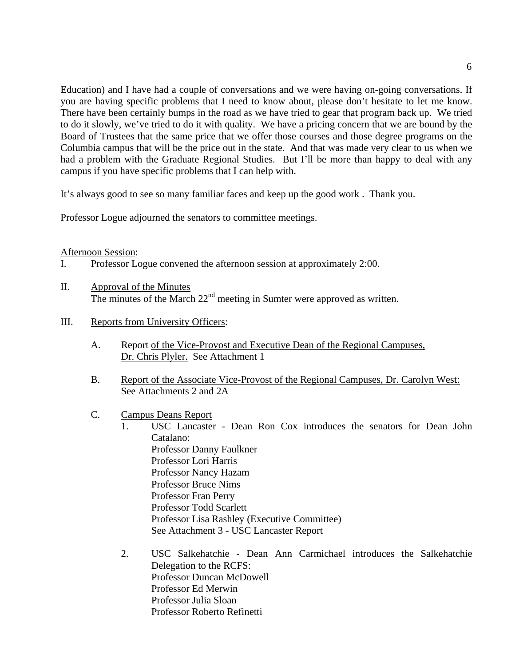Education) and I have had a couple of conversations and we were having on-going conversations. If you are having specific problems that I need to know about, please don't hesitate to let me know. There have been certainly bumps in the road as we have tried to gear that program back up. We tried to do it slowly, we've tried to do it with quality. We have a pricing concern that we are bound by the Board of Trustees that the same price that we offer those courses and those degree programs on the Columbia campus that will be the price out in the state. And that was made very clear to us when we had a problem with the Graduate Regional Studies. But I'll be more than happy to deal with any campus if you have specific problems that I can help with.

It's always good to see so many familiar faces and keep up the good work . Thank you.

Professor Logue adjourned the senators to committee meetings.

#### Afternoon Session:

- I. Professor Logue convened the afternoon session at approximately 2:00.
- II. Approval of the Minutes The minutes of the March  $22<sup>nd</sup>$  meeting in Sumter were approved as written.
- III. Reports from University Officers:
	- A. Report of the Vice-Provost and Executive Dean of the Regional Campuses, Dr. Chris Plyler. See Attachment 1
	- B. Report of the Associate Vice-Provost of the Regional Campuses, Dr. Carolyn West: See Attachments 2 and 2A
	- C. Campus Deans Report
		- 1. USC Lancaster Dean Ron Cox introduces the senators for Dean John Catalano: Professor Danny Faulkner Professor Lori Harris Professor Nancy Hazam Professor Bruce Nims Professor Fran Perry Professor Todd Scarlett Professor Lisa Rashley (Executive Committee) See Attachment 3 - USC Lancaster Report
			- 2. USC Salkehatchie Dean Ann Carmichael introduces the Salkehatchie Delegation to the RCFS: Professor Duncan McDowell Professor Ed Merwin Professor Julia Sloan Professor Roberto Refinetti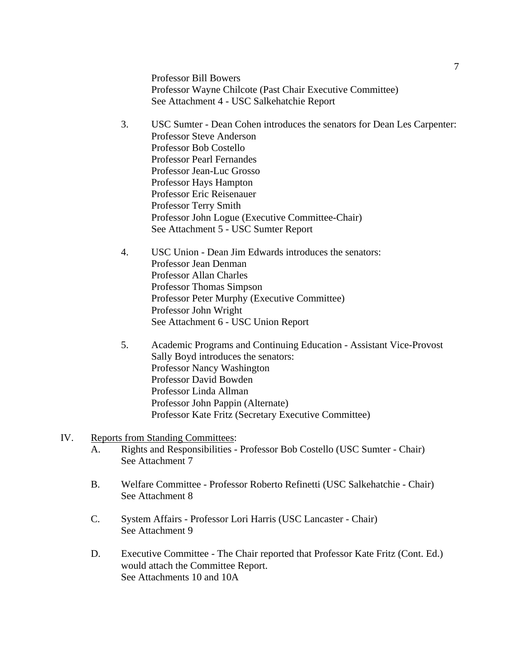Professor Bill Bowers Professor Wayne Chilcote (Past Chair Executive Committee) See Attachment 4 - USC Salkehatchie Report

- 3. USC Sumter Dean Cohen introduces the senators for Dean Les Carpenter: Professor Steve Anderson Professor Bob Costello Professor Pearl Fernandes Professor Jean-Luc Grosso Professor Hays Hampton Professor Eric Reisenauer Professor Terry Smith Professor John Logue (Executive Committee-Chair) See Attachment 5 - USC Sumter Report
- 4. USC Union Dean Jim Edwards introduces the senators: Professor Jean Denman Professor Allan Charles Professor Thomas Simpson Professor Peter Murphy (Executive Committee) Professor John Wright See Attachment 6 - USC Union Report
- 5. Academic Programs and Continuing Education Assistant Vice-Provost Sally Boyd introduces the senators: Professor Nancy Washington Professor David Bowden Professor Linda Allman Professor John Pappin (Alternate) Professor Kate Fritz (Secretary Executive Committee)

#### IV. Reports from Standing Committees:

- A. Rights and Responsibilities Professor Bob Costello (USC Sumter Chair) See Attachment 7
- B. Welfare Committee Professor Roberto Refinetti (USC Salkehatchie Chair) See Attachment 8
- C. System Affairs Professor Lori Harris (USC Lancaster Chair) See Attachment 9
- D. Executive Committee The Chair reported that Professor Kate Fritz (Cont. Ed.) would attach the Committee Report. See Attachments 10 and 10A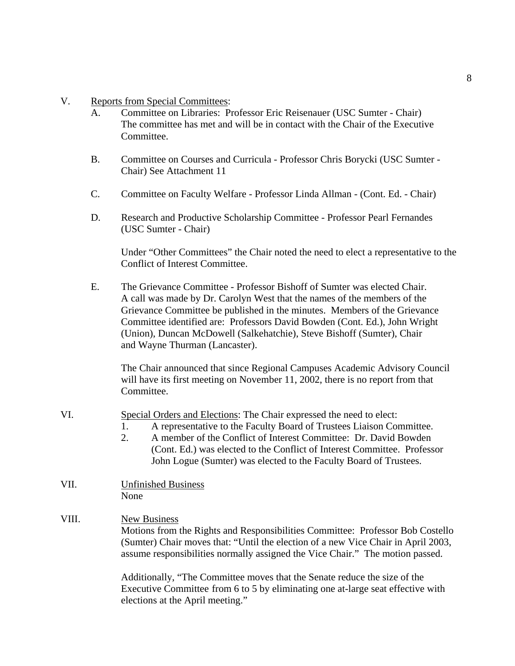- V. Reports from Special Committees:
	- A. Committee on Libraries: Professor Eric Reisenauer (USC Sumter Chair) The committee has met and will be in contact with the Chair of the Executive Committee.
	- B. Committee on Courses and Curricula Professor Chris Borycki (USC Sumter Chair) See Attachment 11
	- C. Committee on Faculty Welfare Professor Linda Allman (Cont. Ed. Chair)
	- D. Research and Productive Scholarship Committee Professor Pearl Fernandes (USC Sumter - Chair)

 Under "Other Committees" the Chair noted the need to elect a representative to the Conflict of Interest Committee.

 E. The Grievance Committee - Professor Bishoff of Sumter was elected Chair. A call was made by Dr. Carolyn West that the names of the members of the Grievance Committee be published in the minutes. Members of the Grievance Committee identified are: Professors David Bowden (Cont. Ed.), John Wright (Union), Duncan McDowell (Salkehatchie), Steve Bishoff (Sumter), Chair and Wayne Thurman (Lancaster).

 The Chair announced that since Regional Campuses Academic Advisory Council will have its first meeting on November 11, 2002, there is no report from that Committee.

- VI. Special Orders and Elections: The Chair expressed the need to elect:
	- 1. A representative to the Faculty Board of Trustees Liaison Committee.
	- 2. A member of the Conflict of Interest Committee: Dr. David Bowden (Cont. Ed.) was elected to the Conflict of Interest Committee. Professor John Logue (Sumter) was elected to the Faculty Board of Trustees.
- VII. Unfinished Business None

# VIII. New Business

 Motions from the Rights and Responsibilities Committee: Professor Bob Costello (Sumter) Chair moves that: "Until the election of a new Vice Chair in April 2003, assume responsibilities normally assigned the Vice Chair." The motion passed.

 Additionally, "The Committee moves that the Senate reduce the size of the Executive Committee from 6 to 5 by eliminating one at-large seat effective with elections at the April meeting."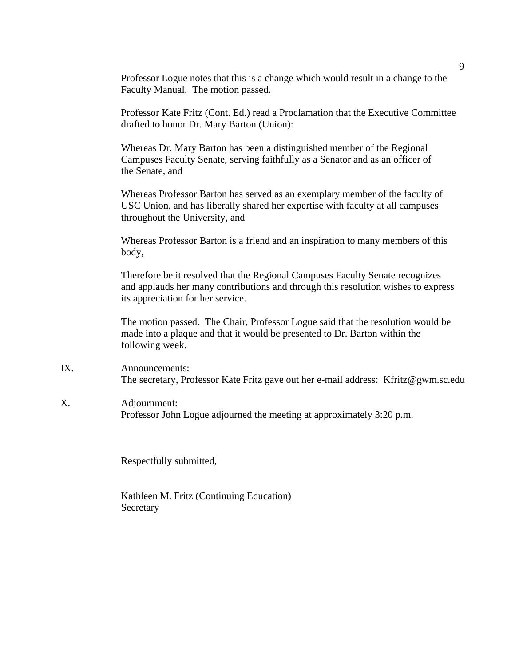Professor Logue notes that this is a change which would result in a change to the Faculty Manual. The motion passed.

 Professor Kate Fritz (Cont. Ed.) read a Proclamation that the Executive Committee drafted to honor Dr. Mary Barton (Union):

 Whereas Dr. Mary Barton has been a distinguished member of the Regional Campuses Faculty Senate, serving faithfully as a Senator and as an officer of the Senate, and

 Whereas Professor Barton has served as an exemplary member of the faculty of USC Union, and has liberally shared her expertise with faculty at all campuses throughout the University, and

 Whereas Professor Barton is a friend and an inspiration to many members of this body,

 Therefore be it resolved that the Regional Campuses Faculty Senate recognizes and applauds her many contributions and through this resolution wishes to express its appreciation for her service.

 The motion passed. The Chair, Professor Logue said that the resolution would be made into a plaque and that it would be presented to Dr. Barton within the following week.

IX. Announcements: The secretary, Professor Kate Fritz gave out her e-mail address: Kfritz@gwm.sc.edu

# X. Adjournment: Professor John Logue adjourned the meeting at approximately 3:20 p.m.

Respectfully submitted,

 Kathleen M. Fritz (Continuing Education) Secretary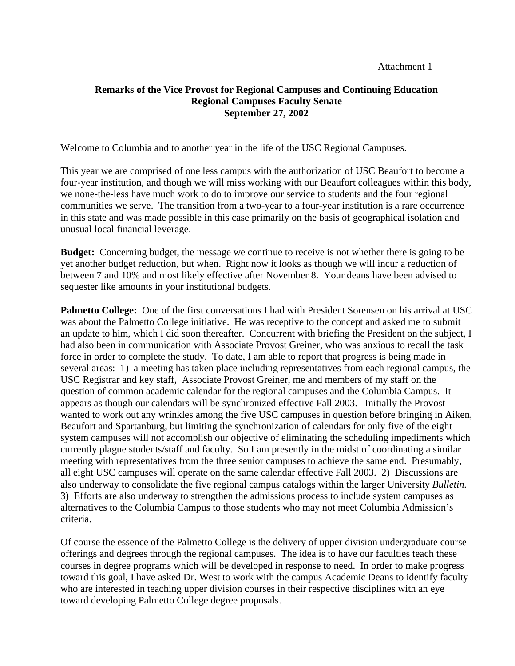Attachment 1

# **Remarks of the Vice Provost for Regional Campuses and Continuing Education Regional Campuses Faculty Senate September 27, 2002**

Welcome to Columbia and to another year in the life of the USC Regional Campuses.

This year we are comprised of one less campus with the authorization of USC Beaufort to become a four-year institution, and though we will miss working with our Beaufort colleagues within this body, we none-the-less have much work to do to improve our service to students and the four regional communities we serve. The transition from a two-year to a four-year institution is a rare occurrence in this state and was made possible in this case primarily on the basis of geographical isolation and unusual local financial leverage.

**Budget:** Concerning budget, the message we continue to receive is not whether there is going to be yet another budget reduction, but when. Right now it looks as though we will incur a reduction of between 7 and 10% and most likely effective after November 8. Your deans have been advised to sequester like amounts in your institutional budgets.

**Palmetto College:** One of the first conversations I had with President Sorensen on his arrival at USC was about the Palmetto College initiative. He was receptive to the concept and asked me to submit an update to him, which I did soon thereafter. Concurrent with briefing the President on the subject, I had also been in communication with Associate Provost Greiner, who was anxious to recall the task force in order to complete the study. To date, I am able to report that progress is being made in several areas: 1) a meeting has taken place including representatives from each regional campus, the USC Registrar and key staff, Associate Provost Greiner, me and members of my staff on the question of common academic calendar for the regional campuses and the Columbia Campus. It appears as though our calendars will be synchronized effective Fall 2003. Initially the Provost wanted to work out any wrinkles among the five USC campuses in question before bringing in Aiken, Beaufort and Spartanburg, but limiting the synchronization of calendars for only five of the eight system campuses will not accomplish our objective of eliminating the scheduling impediments which currently plague students/staff and faculty. So I am presently in the midst of coordinating a similar meeting with representatives from the three senior campuses to achieve the same end. Presumably, all eight USC campuses will operate on the same calendar effective Fall 2003. 2) Discussions are also underway to consolidate the five regional campus catalogs within the larger University *Bulletin.* 3) Efforts are also underway to strengthen the admissions process to include system campuses as alternatives to the Columbia Campus to those students who may not meet Columbia Admission's criteria.

Of course the essence of the Palmetto College is the delivery of upper division undergraduate course offerings and degrees through the regional campuses. The idea is to have our faculties teach these courses in degree programs which will be developed in response to need. In order to make progress toward this goal, I have asked Dr. West to work with the campus Academic Deans to identify faculty who are interested in teaching upper division courses in their respective disciplines with an eye toward developing Palmetto College degree proposals.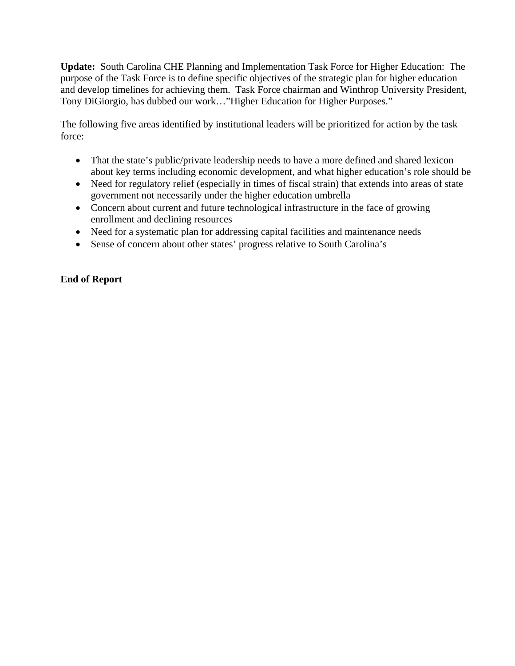**Update:** South Carolina CHE Planning and Implementation Task Force for Higher Education: The purpose of the Task Force is to define specific objectives of the strategic plan for higher education and develop timelines for achieving them. Task Force chairman and Winthrop University President, Tony DiGiorgio, has dubbed our work…"Higher Education for Higher Purposes."

The following five areas identified by institutional leaders will be prioritized for action by the task force:

- That the state's public/private leadership needs to have a more defined and shared lexicon about key terms including economic development, and what higher education's role should be
- Need for regulatory relief (especially in times of fiscal strain) that extends into areas of state government not necessarily under the higher education umbrella
- Concern about current and future technological infrastructure in the face of growing enrollment and declining resources
- Need for a systematic plan for addressing capital facilities and maintenance needs
- Sense of concern about other states' progress relative to South Carolina's

# **End of Report**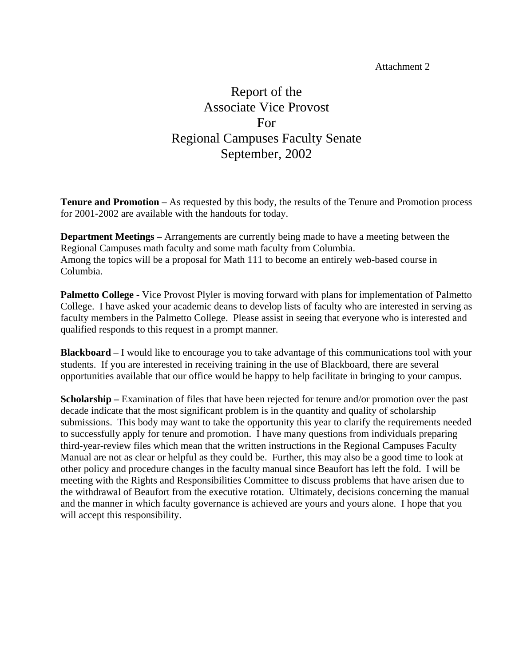Attachment 2

# Report of the Associate Vice Provost For Regional Campuses Faculty Senate September, 2002

**Tenure and Promotion** – As requested by this body, the results of the Tenure and Promotion process for 2001-2002 are available with the handouts for today.

**Department Meetings –** Arrangements are currently being made to have a meeting between the Regional Campuses math faculty and some math faculty from Columbia. Among the topics will be a proposal for Math 111 to become an entirely web-based course in Columbia.

**Palmetto College -** Vice Provost Plyler is moving forward with plans for implementation of Palmetto College. I have asked your academic deans to develop lists of faculty who are interested in serving as faculty members in the Palmetto College. Please assist in seeing that everyone who is interested and qualified responds to this request in a prompt manner.

**Blackboard** – I would like to encourage you to take advantage of this communications tool with your students. If you are interested in receiving training in the use of Blackboard, there are several opportunities available that our office would be happy to help facilitate in bringing to your campus.

**Scholarship –** Examination of files that have been rejected for tenure and/or promotion over the past decade indicate that the most significant problem is in the quantity and quality of scholarship submissions. This body may want to take the opportunity this year to clarify the requirements needed to successfully apply for tenure and promotion. I have many questions from individuals preparing third-year-review files which mean that the written instructions in the Regional Campuses Faculty Manual are not as clear or helpful as they could be. Further, this may also be a good time to look at other policy and procedure changes in the faculty manual since Beaufort has left the fold. I will be meeting with the Rights and Responsibilities Committee to discuss problems that have arisen due to the withdrawal of Beaufort from the executive rotation. Ultimately, decisions concerning the manual and the manner in which faculty governance is achieved are yours and yours alone. I hope that you will accept this responsibility.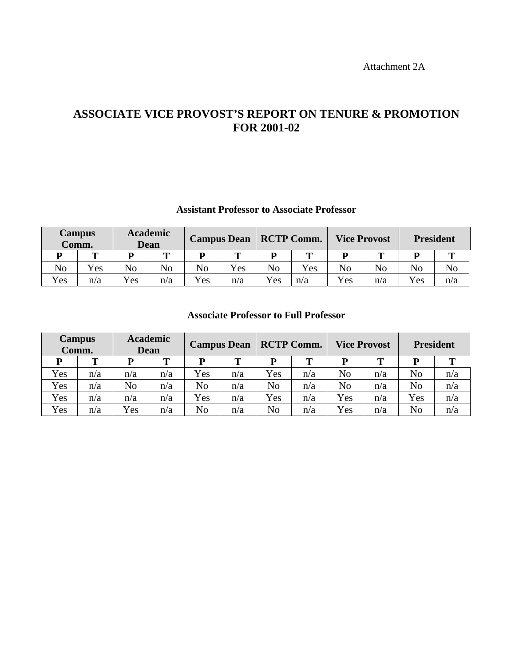Attachment 2A

# **ASSOCIATE VICE PROVOST'S REPORT ON TENURE & PROMOTION FOR 2001-02**

# **Assistant Professor to Associate Professor**

| <b>Campus</b><br>Comm. |     | <b>Academic</b><br><b>Dean</b> |     |     |     | <b>Campus Dean   RCTP Comm.</b> |     | <b>Vice Provost</b> |     | <b>President</b> |                |
|------------------------|-----|--------------------------------|-----|-----|-----|---------------------------------|-----|---------------------|-----|------------------|----------------|
|                        | m   |                                | m   | D   |     | D                               |     |                     |     |                  | m              |
| N <sub>o</sub>         | Yes | No                             | No  | No  | Yes | No                              | Yes | No                  | No  | No               | N <sub>o</sub> |
| Yes                    | n/a | Yes                            | n/a | Yes | n/a | Yes                             | n/a | Yes                 | n/a | Yes              | n/a            |

# **Associate Professor to Full Professor**

| <b>Campus</b><br>Comm. |     | <b>Academic</b><br>Dean |     | <b>Campus Dean</b> |     | <b>RCTP Comm.</b> |     | <b>Vice Provost</b> |     | <b>President</b> |     |
|------------------------|-----|-------------------------|-----|--------------------|-----|-------------------|-----|---------------------|-----|------------------|-----|
| D                      | Т   | P                       | т   | D                  | т   | D                 | т   |                     |     | D                | т   |
| Yes                    | n/a | n/a                     | n/a | Yes                | n/a | Yes               | n/a | No                  | n/a | N <sub>o</sub>   | n/a |
| Yes                    | n/a | No                      | n/a | No                 | n/a | No                | n/a | No                  | n/a | No               | n/a |
| Yes                    | n/a | n/a                     | n/a | Yes                | n/a | Yes               | n/a | Yes                 | n/a | Yes              | n/a |
| Yes                    | n/a | Yes                     | n/a | No                 | n/a | No                | n/a | Yes                 | n/a | No               | n/a |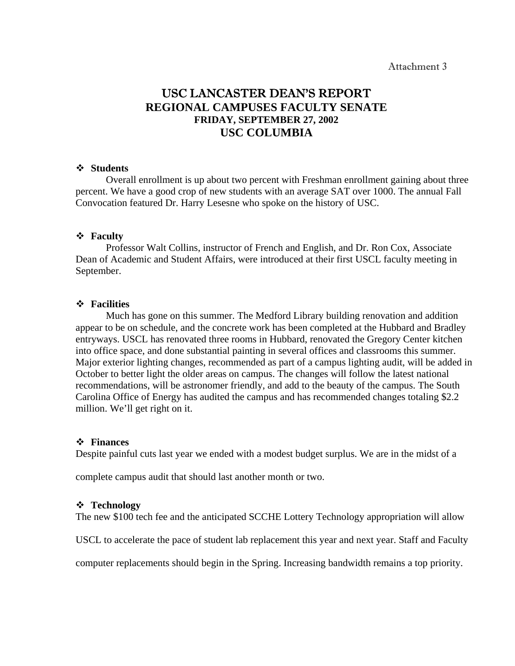# USC LANCASTER DEAN'S REPORT **REGIONAL CAMPUSES FACULTY SENATE FRIDAY, SEPTEMBER 27, 2002 USC COLUMBIA**

#### **Students**

Overall enrollment is up about two percent with Freshman enrollment gaining about three percent. We have a good crop of new students with an average SAT over 1000. The annual Fall Convocation featured Dr. Harry Lesesne who spoke on the history of USC.

#### **Faculty**

Professor Walt Collins, instructor of French and English, and Dr. Ron Cox, Associate Dean of Academic and Student Affairs, were introduced at their first USCL faculty meeting in September.

#### **Facilities**

Much has gone on this summer. The Medford Library building renovation and addition appear to be on schedule, and the concrete work has been completed at the Hubbard and Bradley entryways. USCL has renovated three rooms in Hubbard, renovated the Gregory Center kitchen into office space, and done substantial painting in several offices and classrooms this summer. Major exterior lighting changes, recommended as part of a campus lighting audit, will be added in October to better light the older areas on campus. The changes will follow the latest national recommendations, will be astronomer friendly, and add to the beauty of the campus. The South Carolina Office of Energy has audited the campus and has recommended changes totaling \$2.2 million. We'll get right on it.

#### **Finances**

Despite painful cuts last year we ended with a modest budget surplus. We are in the midst of a

complete campus audit that should last another month or two.

#### **Technology**

The new \$100 tech fee and the anticipated SCCHE Lottery Technology appropriation will allow

USCL to accelerate the pace of student lab replacement this year and next year. Staff and Faculty

computer replacements should begin in the Spring. Increasing bandwidth remains a top priority.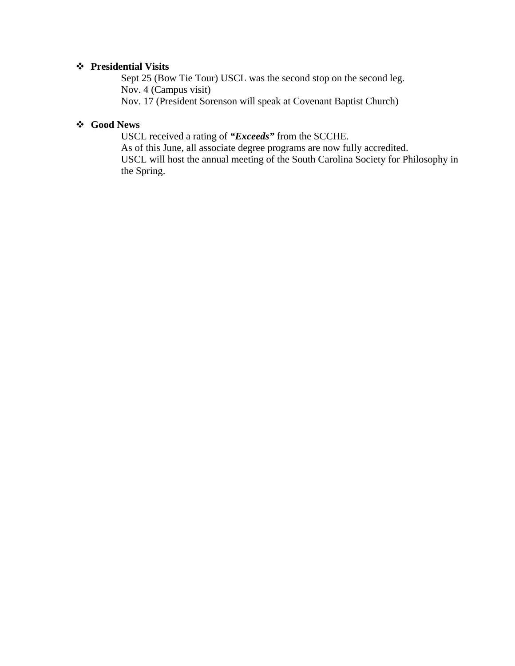# **Presidential Visits**

Sept 25 (Bow Tie Tour) USCL was the second stop on the second leg. Nov. 4 (Campus visit) Nov. 17 (President Sorenson will speak at Covenant Baptist Church)

# **Good News**

 USCL received a rating of *"Exceeds"* from the SCCHE. As of this June, all associate degree programs are now fully accredited. USCL will host the annual meeting of the South Carolina Society for Philosophy in the Spring.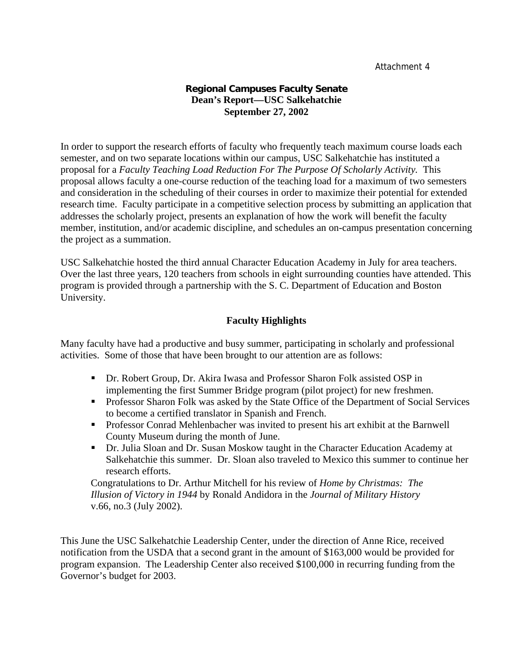# **Regional Campuses Faculty Senate Dean's Report—USC Salkehatchie September 27, 2002**

In order to support the research efforts of faculty who frequently teach maximum course loads each semester, and on two separate locations within our campus, USC Salkehatchie has instituted a proposal for a *Faculty Teaching Load Reduction For The Purpose Of Scholarly Activity.* This proposal allows faculty a one-course reduction of the teaching load for a maximum of two semesters and consideration in the scheduling of their courses in order to maximize their potential for extended research time. Faculty participate in a competitive selection process by submitting an application that addresses the scholarly project, presents an explanation of how the work will benefit the faculty member, institution, and/or academic discipline, and schedules an on-campus presentation concerning the project as a summation.

USC Salkehatchie hosted the third annual Character Education Academy in July for area teachers. Over the last three years, 120 teachers from schools in eight surrounding counties have attended. This program is provided through a partnership with the S. C. Department of Education and Boston University.

# **Faculty Highlights**

Many faculty have had a productive and busy summer, participating in scholarly and professional activities. Some of those that have been brought to our attention are as follows:

- Dr. Robert Group, Dr. Akira Iwasa and Professor Sharon Folk assisted OSP in implementing the first Summer Bridge program (pilot project) for new freshmen.
- **Professor Sharon Folk was asked by the State Office of the Department of Social Services** to become a certified translator in Spanish and French.
- Professor Conrad Mehlenbacher was invited to present his art exhibit at the Barnwell County Museum during the month of June.
- Dr. Julia Sloan and Dr. Susan Moskow taught in the Character Education Academy at Salkehatchie this summer. Dr. Sloan also traveled to Mexico this summer to continue her research efforts.

 Congratulations to Dr. Arthur Mitchell for his review of *Home by Christmas: The Illusion of Victory in 1944* by Ronald Andidora in the *Journal of Military History* v.66, no.3 (July 2002).

This June the USC Salkehatchie Leadership Center, under the direction of Anne Rice, received notification from the USDA that a second grant in the amount of \$163,000 would be provided for program expansion. The Leadership Center also received \$100,000 in recurring funding from the Governor's budget for 2003.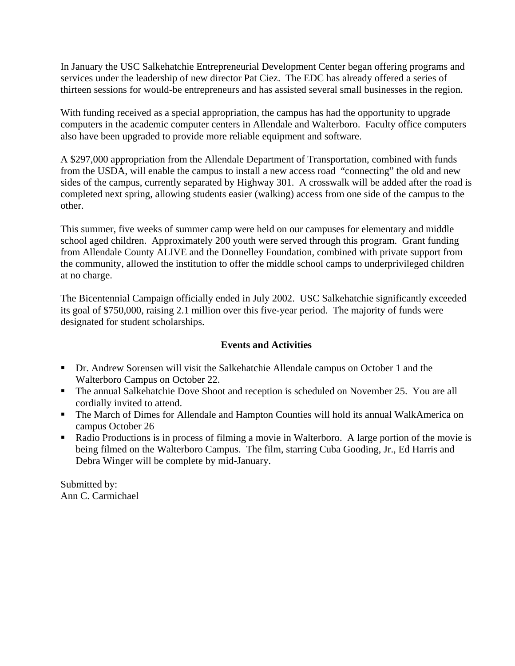In January the USC Salkehatchie Entrepreneurial Development Center began offering programs and services under the leadership of new director Pat Ciez. The EDC has already offered a series of thirteen sessions for would-be entrepreneurs and has assisted several small businesses in the region.

With funding received as a special appropriation, the campus has had the opportunity to upgrade computers in the academic computer centers in Allendale and Walterboro. Faculty office computers also have been upgraded to provide more reliable equipment and software.

A \$297,000 appropriation from the Allendale Department of Transportation, combined with funds from the USDA, will enable the campus to install a new access road "connecting" the old and new sides of the campus, currently separated by Highway 301. A crosswalk will be added after the road is completed next spring, allowing students easier (walking) access from one side of the campus to the other.

This summer, five weeks of summer camp were held on our campuses for elementary and middle school aged children. Approximately 200 youth were served through this program. Grant funding from Allendale County ALIVE and the Donnelley Foundation, combined with private support from the community, allowed the institution to offer the middle school camps to underprivileged children at no charge.

The Bicentennial Campaign officially ended in July 2002. USC Salkehatchie significantly exceeded its goal of \$750,000, raising 2.1 million over this five-year period. The majority of funds were designated for student scholarships.

# **Events and Activities**

- Dr. Andrew Sorensen will visit the Salkehatchie Allendale campus on October 1 and the Walterboro Campus on October 22.
- The annual Salkehatchie Dove Shoot and reception is scheduled on November 25. You are all cordially invited to attend.
- The March of Dimes for Allendale and Hampton Counties will hold its annual WalkAmerica on campus October 26
- Radio Productions is in process of filming a movie in Walterboro. A large portion of the movie is being filmed on the Walterboro Campus. The film, starring Cuba Gooding, Jr., Ed Harris and Debra Winger will be complete by mid-January.

Submitted by: Ann C. Carmichael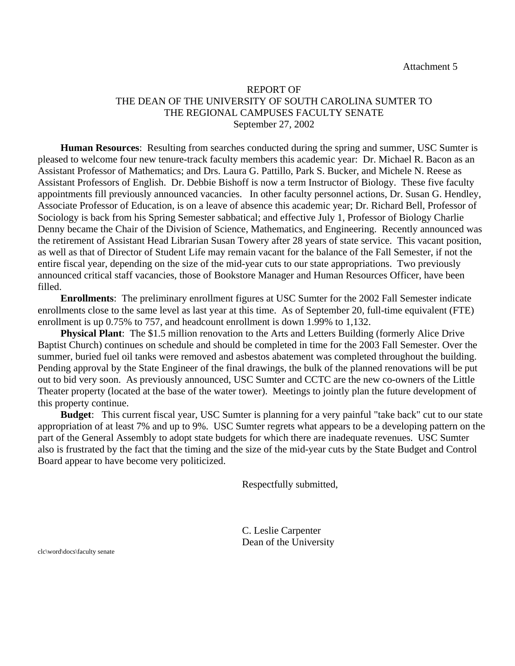### REPORT OF THE DEAN OF THE UNIVERSITY OF SOUTH CAROLINA SUMTER TO THE REGIONAL CAMPUSES FACULTY SENATE September 27, 2002

**Human Resources**: Resulting from searches conducted during the spring and summer, USC Sumter is pleased to welcome four new tenure-track faculty members this academic year: Dr. Michael R. Bacon as an Assistant Professor of Mathematics; and Drs. Laura G. Pattillo, Park S. Bucker, and Michele N. Reese as Assistant Professors of English. Dr. Debbie Bishoff is now a term Instructor of Biology. These five faculty appointments fill previously announced vacancies. In other faculty personnel actions, Dr. Susan G. Hendley, Associate Professor of Education, is on a leave of absence this academic year; Dr. Richard Bell, Professor of Sociology is back from his Spring Semester sabbatical; and effective July 1, Professor of Biology Charlie Denny became the Chair of the Division of Science, Mathematics, and Engineering. Recently announced was the retirement of Assistant Head Librarian Susan Towery after 28 years of state service. This vacant position, as well as that of Director of Student Life may remain vacant for the balance of the Fall Semester, if not the entire fiscal year, depending on the size of the mid-year cuts to our state appropriations. Two previously announced critical staff vacancies, those of Bookstore Manager and Human Resources Officer, have been filled.

**Enrollments**: The preliminary enrollment figures at USC Sumter for the 2002 Fall Semester indicate enrollments close to the same level as last year at this time. As of September 20, full-time equivalent (FTE) enrollment is up 0.75% to 757, and headcount enrollment is down 1.99% to 1,132.

**Physical Plant**: The \$1.5 million renovation to the Arts and Letters Building (formerly Alice Drive Baptist Church) continues on schedule and should be completed in time for the 2003 Fall Semester. Over the summer, buried fuel oil tanks were removed and asbestos abatement was completed throughout the building. Pending approval by the State Engineer of the final drawings, the bulk of the planned renovations will be put out to bid very soon. As previously announced, USC Sumter and CCTC are the new co-owners of the Little Theater property (located at the base of the water tower). Meetings to jointly plan the future development of this property continue.

**Budget**: This current fiscal year, USC Sumter is planning for a very painful "take back" cut to our state appropriation of at least 7% and up to 9%. USC Sumter regrets what appears to be a developing pattern on the part of the General Assembly to adopt state budgets for which there are inadequate revenues. USC Sumter also is frustrated by the fact that the timing and the size of the mid-year cuts by the State Budget and Control Board appear to have become very politicized.

Respectfully submitted,

C. Leslie Carpenter Dean of the University

clc\word\docs\faculty senate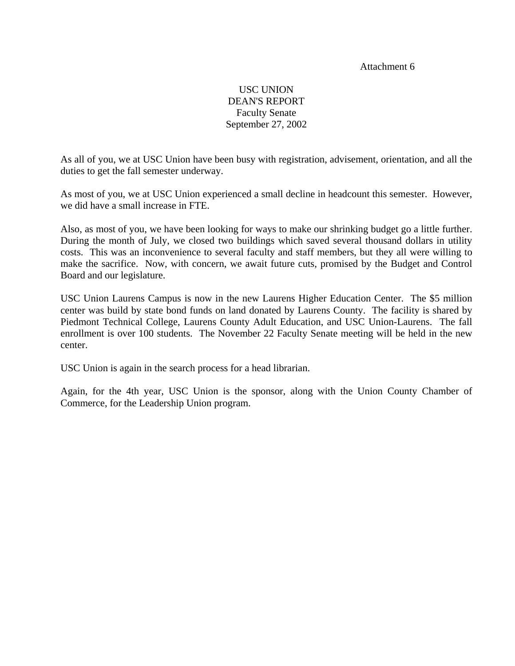#### Attachment 6

# USC UNION DEAN'S REPORT Faculty Senate September 27, 2002

As all of you, we at USC Union have been busy with registration, advisement, orientation, and all the duties to get the fall semester underway.

As most of you, we at USC Union experienced a small decline in headcount this semester. However, we did have a small increase in FTE.

Also, as most of you, we have been looking for ways to make our shrinking budget go a little further. During the month of July, we closed two buildings which saved several thousand dollars in utility costs. This was an inconvenience to several faculty and staff members, but they all were willing to make the sacrifice. Now, with concern, we await future cuts, promised by the Budget and Control Board and our legislature.

USC Union Laurens Campus is now in the new Laurens Higher Education Center. The \$5 million center was build by state bond funds on land donated by Laurens County. The facility is shared by Piedmont Technical College, Laurens County Adult Education, and USC Union-Laurens. The fall enrollment is over 100 students. The November 22 Faculty Senate meeting will be held in the new center.

USC Union is again in the search process for a head librarian.

Again, for the 4th year, USC Union is the sponsor, along with the Union County Chamber of Commerce, for the Leadership Union program.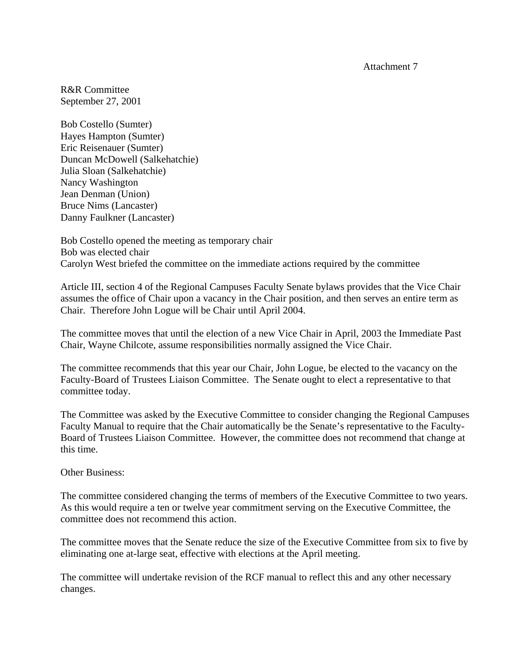Attachment 7

R&R Committee September 27, 2001

Bob Costello (Sumter) Hayes Hampton (Sumter) Eric Reisenauer (Sumter) Duncan McDowell (Salkehatchie) Julia Sloan (Salkehatchie) Nancy Washington Jean Denman (Union) Bruce Nims (Lancaster) Danny Faulkner (Lancaster)

Bob Costello opened the meeting as temporary chair Bob was elected chair Carolyn West briefed the committee on the immediate actions required by the committee

Article III, section 4 of the Regional Campuses Faculty Senate bylaws provides that the Vice Chair assumes the office of Chair upon a vacancy in the Chair position, and then serves an entire term as Chair. Therefore John Logue will be Chair until April 2004.

The committee moves that until the election of a new Vice Chair in April, 2003 the Immediate Past Chair, Wayne Chilcote, assume responsibilities normally assigned the Vice Chair.

The committee recommends that this year our Chair, John Logue, be elected to the vacancy on the Faculty-Board of Trustees Liaison Committee. The Senate ought to elect a representative to that committee today.

The Committee was asked by the Executive Committee to consider changing the Regional Campuses Faculty Manual to require that the Chair automatically be the Senate's representative to the Faculty-Board of Trustees Liaison Committee. However, the committee does not recommend that change at this time.

Other Business:

The committee considered changing the terms of members of the Executive Committee to two years. As this would require a ten or twelve year commitment serving on the Executive Committee, the committee does not recommend this action.

The committee moves that the Senate reduce the size of the Executive Committee from six to five by eliminating one at-large seat, effective with elections at the April meeting.

The committee will undertake revision of the RCF manual to reflect this and any other necessary changes.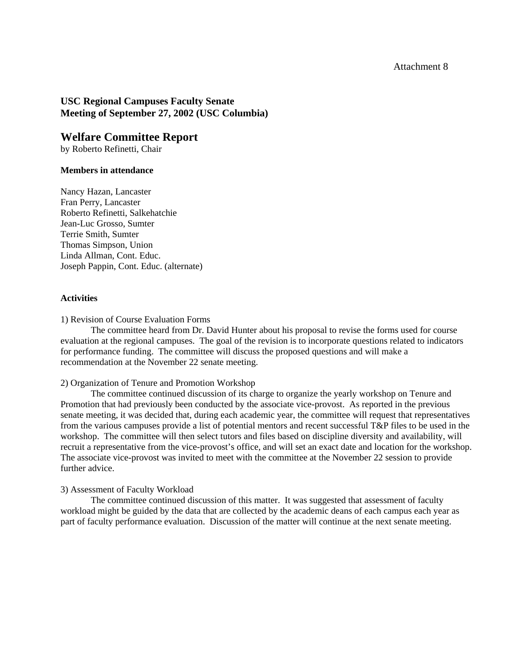### **USC Regional Campuses Faculty Senate Meeting of September 27, 2002 (USC Columbia)**

# **Welfare Committee Report**

by Roberto Refinetti, Chair

#### **Members in attendance**

Nancy Hazan, Lancaster Fran Perry, Lancaster Roberto Refinetti, Salkehatchie Jean-Luc Grosso, Sumter Terrie Smith, Sumter Thomas Simpson, Union Linda Allman, Cont. Educ. Joseph Pappin, Cont. Educ. (alternate)

#### **Activities**

1) Revision of Course Evaluation Forms

 The committee heard from Dr. David Hunter about his proposal to revise the forms used for course evaluation at the regional campuses. The goal of the revision is to incorporate questions related to indicators for performance funding. The committee will discuss the proposed questions and will make a recommendation at the November 22 senate meeting.

#### 2) Organization of Tenure and Promotion Workshop

 The committee continued discussion of its charge to organize the yearly workshop on Tenure and Promotion that had previously been conducted by the associate vice-provost. As reported in the previous senate meeting, it was decided that, during each academic year, the committee will request that representatives from the various campuses provide a list of potential mentors and recent successful T&P files to be used in the workshop. The committee will then select tutors and files based on discipline diversity and availability, will recruit a representative from the vice-provost's office, and will set an exact date and location for the workshop. The associate vice-provost was invited to meet with the committee at the November 22 session to provide further advice.

#### 3) Assessment of Faculty Workload

 The committee continued discussion of this matter. It was suggested that assessment of faculty workload might be guided by the data that are collected by the academic deans of each campus each year as part of faculty performance evaluation. Discussion of the matter will continue at the next senate meeting.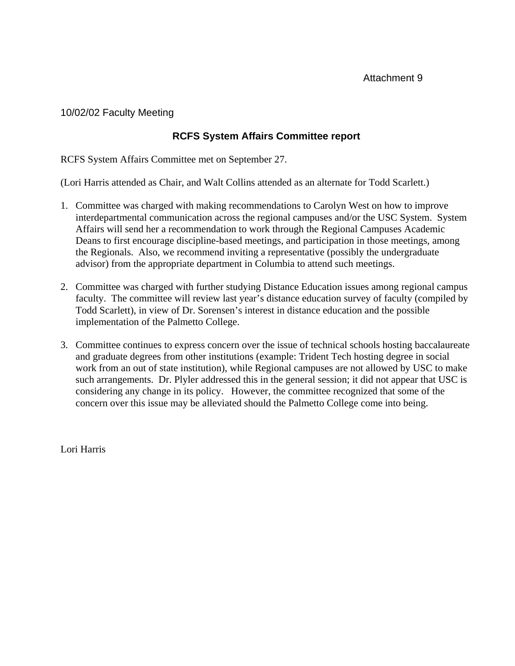10/02/02 Faculty Meeting

# **RCFS System Affairs Committee report**

RCFS System Affairs Committee met on September 27.

(Lori Harris attended as Chair, and Walt Collins attended as an alternate for Todd Scarlett.)

- 1. Committee was charged with making recommendations to Carolyn West on how to improve interdepartmental communication across the regional campuses and/or the USC System. System Affairs will send her a recommendation to work through the Regional Campuses Academic Deans to first encourage discipline-based meetings, and participation in those meetings, among the Regionals. Also, we recommend inviting a representative (possibly the undergraduate advisor) from the appropriate department in Columbia to attend such meetings.
- 2. Committee was charged with further studying Distance Education issues among regional campus faculty. The committee will review last year's distance education survey of faculty (compiled by Todd Scarlett), in view of Dr. Sorensen's interest in distance education and the possible implementation of the Palmetto College.
- 3. Committee continues to express concern over the issue of technical schools hosting baccalaureate and graduate degrees from other institutions (example: Trident Tech hosting degree in social work from an out of state institution), while Regional campuses are not allowed by USC to make such arrangements. Dr. Plyler addressed this in the general session; it did not appear that USC is considering any change in its policy. However, the committee recognized that some of the concern over this issue may be alleviated should the Palmetto College come into being.

Lori Harris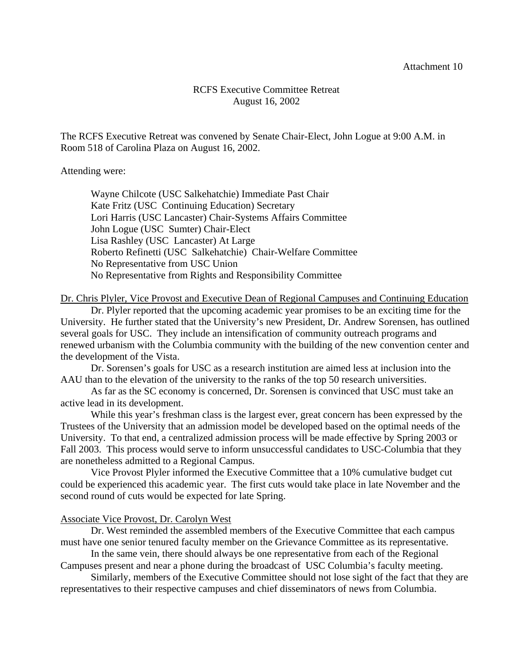# RCFS Executive Committee Retreat August 16, 2002

The RCFS Executive Retreat was convened by Senate Chair-Elect, John Logue at 9:00 A.M. in Room 518 of Carolina Plaza on August 16, 2002.

Attending were:

 Wayne Chilcote (USC Salkehatchie) Immediate Past Chair Kate Fritz (USC Continuing Education) Secretary Lori Harris (USC Lancaster) Chair-Systems Affairs Committee John Logue (USC Sumter) Chair-Elect Lisa Rashley (USC Lancaster) At Large Roberto Refinetti (USC Salkehatchie) Chair-Welfare Committee No Representative from USC Union No Representative from Rights and Responsibility Committee

#### Dr. Chris Plyler, Vice Provost and Executive Dean of Regional Campuses and Continuing Education

 Dr. Plyler reported that the upcoming academic year promises to be an exciting time for the University. He further stated that the University's new President, Dr. Andrew Sorensen, has outlined several goals for USC. They include an intensification of community outreach programs and renewed urbanism with the Columbia community with the building of the new convention center and the development of the Vista.

 Dr. Sorensen's goals for USC as a research institution are aimed less at inclusion into the AAU than to the elevation of the university to the ranks of the top 50 research universities.

 As far as the SC economy is concerned, Dr. Sorensen is convinced that USC must take an active lead in its development.

 While this year's freshman class is the largest ever, great concern has been expressed by the Trustees of the University that an admission model be developed based on the optimal needs of the University. To that end, a centralized admission process will be made effective by Spring 2003 or Fall 2003. This process would serve to inform unsuccessful candidates to USC-Columbia that they are nonetheless admitted to a Regional Campus.

 Vice Provost Plyler informed the Executive Committee that a 10% cumulative budget cut could be experienced this academic year. The first cuts would take place in late November and the second round of cuts would be expected for late Spring.

#### Associate Vice Provost, Dr. Carolyn West

 Dr. West reminded the assembled members of the Executive Committee that each campus must have one senior tenured faculty member on the Grievance Committee as its representative.

 In the same vein, there should always be one representative from each of the Regional Campuses present and near a phone during the broadcast of USC Columbia's faculty meeting.

 Similarly, members of the Executive Committee should not lose sight of the fact that they are representatives to their respective campuses and chief disseminators of news from Columbia.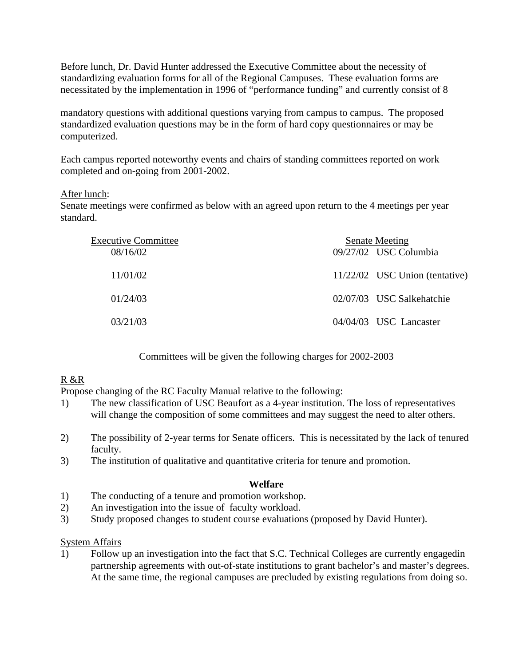Before lunch, Dr. David Hunter addressed the Executive Committee about the necessity of standardizing evaluation forms for all of the Regional Campuses. These evaluation forms are necessitated by the implementation in 1996 of "performance funding" and currently consist of 8

mandatory questions with additional questions varying from campus to campus. The proposed standardized evaluation questions may be in the form of hard copy questionnaires or may be computerized.

Each campus reported noteworthy events and chairs of standing committees reported on work completed and on-going from 2001-2002.

# After lunch:

Senate meetings were confirmed as below with an agreed upon return to the 4 meetings per year standard.

| <b>Executive Committee</b><br>08/16/02 | <b>Senate Meeting</b><br>09/27/02 USC Columbia |
|----------------------------------------|------------------------------------------------|
|                                        |                                                |
| 11/01/02                               | 11/22/02 USC Union (tentative)                 |
| 01/24/03                               | 02/07/03 USC Salkehatchie                      |
| 03/21/03                               | 04/04/03 USC Lancaster                         |

Committees will be given the following charges for 2002-2003

# R &R

Propose changing of the RC Faculty Manual relative to the following:

- 1) The new classification of USC Beaufort as a 4-year institution. The loss of representatives will change the composition of some committees and may suggest the need to alter others.
- 2) The possibility of 2-year terms for Senate officers. This is necessitated by the lack of tenured faculty.
- 3) The institution of qualitative and quantitative criteria for tenure and promotion.

### **Welfare**

- 1) The conducting of a tenure and promotion workshop.
- 2) An investigation into the issue of faculty workload.
- 3) Study proposed changes to student course evaluations (proposed by David Hunter).

# System Affairs

1) Follow up an investigation into the fact that S.C. Technical Colleges are currently engagedin partnership agreements with out-of-state institutions to grant bachelor's and master's degrees. At the same time, the regional campuses are precluded by existing regulations from doing so.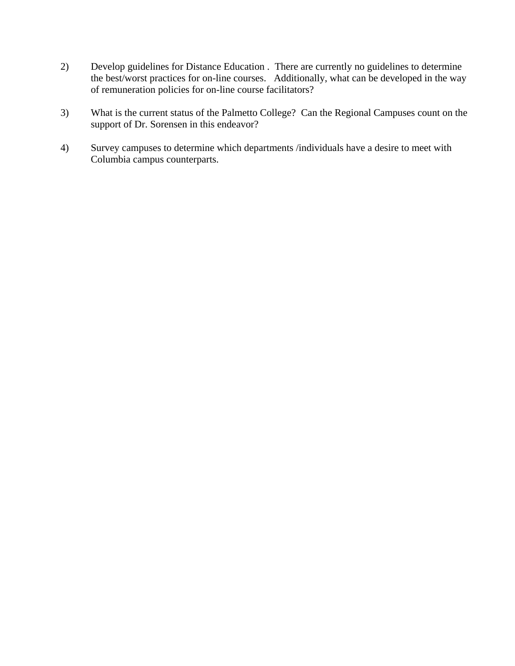- 2) Develop guidelines for Distance Education . There are currently no guidelines to determine the best/worst practices for on-line courses. Additionally, what can be developed in the way of remuneration policies for on-line course facilitators?
- 3) What is the current status of the Palmetto College? Can the Regional Campuses count on the support of Dr. Sorensen in this endeavor?
- 4) Survey campuses to determine which departments /individuals have a desire to meet with Columbia campus counterparts.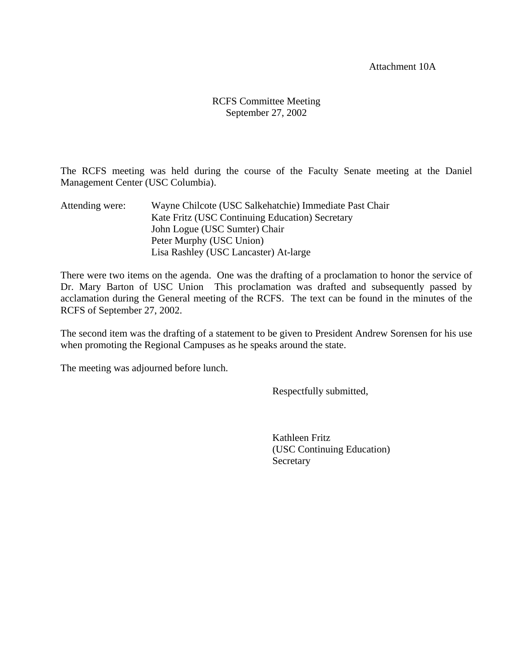Attachment 10A

# RCFS Committee Meeting September 27, 2002

The RCFS meeting was held during the course of the Faculty Senate meeting at the Daniel Management Center (USC Columbia).

Attending were: Wayne Chilcote (USC Salkehatchie) Immediate Past Chair Kate Fritz (USC Continuing Education) Secretary John Logue (USC Sumter) Chair Peter Murphy (USC Union) Lisa Rashley (USC Lancaster) At-large

There were two items on the agenda. One was the drafting of a proclamation to honor the service of Dr. Mary Barton of USC Union This proclamation was drafted and subsequently passed by acclamation during the General meeting of the RCFS. The text can be found in the minutes of the RCFS of September 27, 2002.

The second item was the drafting of a statement to be given to President Andrew Sorensen for his use when promoting the Regional Campuses as he speaks around the state.

The meeting was adjourned before lunch.

Respectfully submitted,

 Kathleen Fritz (USC Continuing Education) Secretary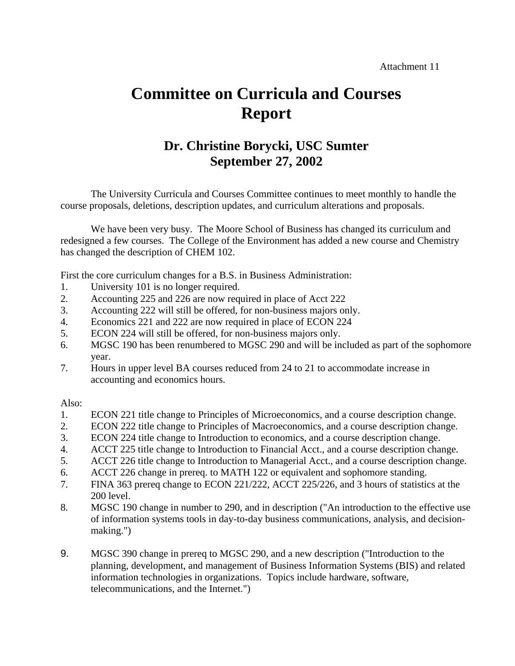# **Committee on Curricula and Courses Report**

# **Dr. Christine Borycki, USC Sumter September 27, 2002**

The University Curricula and Courses Committee continues to meet monthly to handle the course proposals, deletions, description updates, and curriculum alterations and proposals.

 We have been very busy. The Moore School of Business has changed its curriculum and redesigned a few courses. The College of the Environment has added a new course and Chemistry has changed the description of CHEM 102.

First the core curriculum changes for a B.S. in Business Administration:

- 1. University 101 is no longer required.
- 2. Accounting 225 and 226 are now required in place of Acct 222
- 3. Accounting 222 will still be offered, for non-business majors only.
- 4. Economics 221 and 222 are now required in place of ECON 224
- 5. ECON 224 will still be offered, for non-business majors only.
- 6. MGSC 190 has been renumbered to MGSC 290 and will be included as part of the sophomore year.
- 7. Hours in upper level BA courses reduced from 24 to 21 to accommodate increase in accounting and economics hours.

Also:

- 1. ECON 221 title change to Principles of Microeconomics, and a course description change.
- 2. ECON 222 title change to Principles of Macroeconomics, and a course description change.
- 3. ECON 224 title change to Introduction to economics, and a course description change.
- 4. ACCT 225 title change to Introduction to Financial Acct., and a course description change.
- 5. ACCT 226 title change to Introduction to Managerial Acct., and a course description change.
- 6. ACCT 226 change in prereq. to MATH 122 or equivalent and sophomore standing.
- 7. FINA 363 prereq change to ECON 221/222, ACCT 225/226, and 3 hours of statistics at the 200 level.
- 8. MGSC 190 change in number to 290, and in description ("An introduction to the effective use of information systems tools in day-to-day business communications, analysis, and decisionmaking.")
- 9. MGSC 390 change in prereq to MGSC 290, and a new description ("Introduction to the planning, development, and management of Business Information Systems (BIS) and related information technologies in organizations. Topics include hardware, software, telecommunications, and the Internet.")